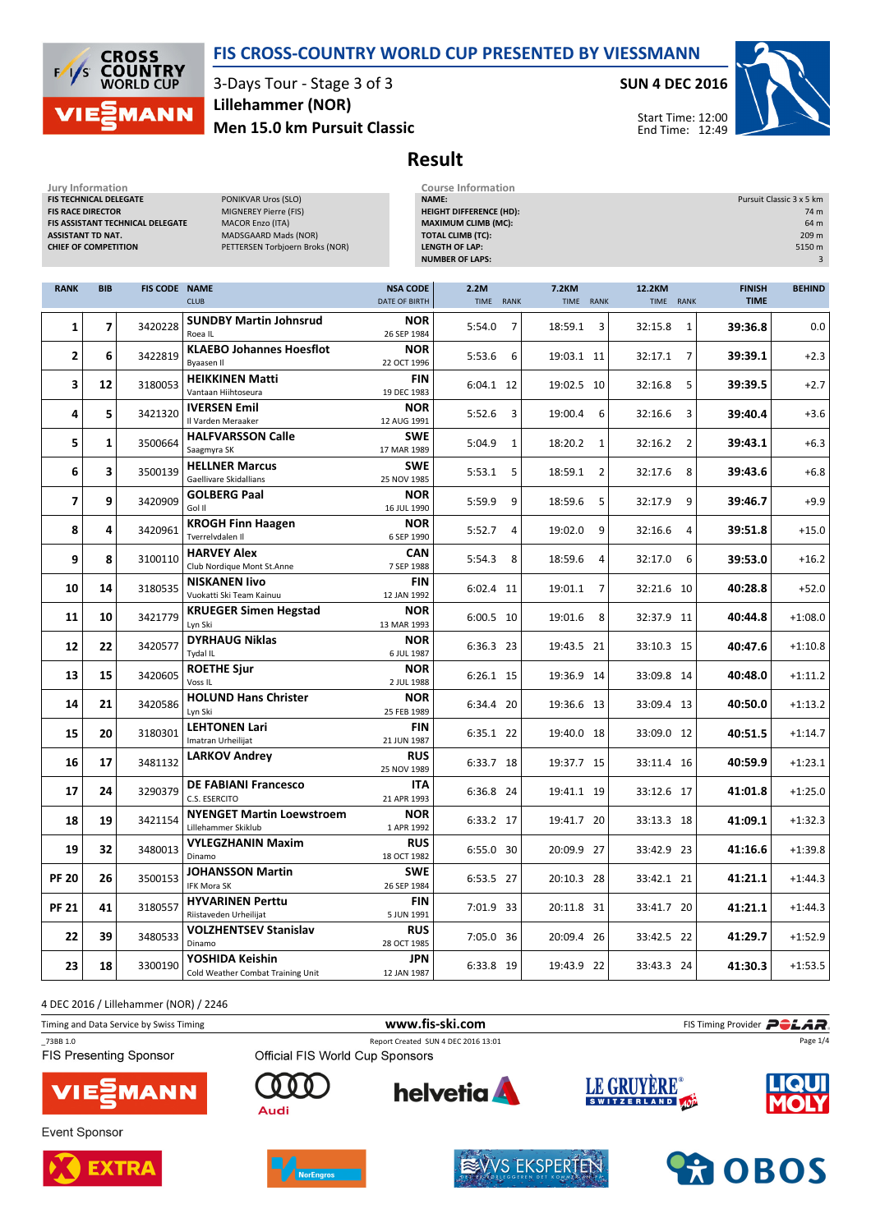



3-Days Tour - Stage 3 of 3 Men 15.0 km Pursuit Classic Lillehammer (NOR)

Jury Information Course Information

SUN 4 DEC 2016



Start Time: 12:00 End Time: 12:49

## Result

| awi y ililiwililiwalwi<br>PONIKVAR Uros (SLO)<br>FIS TECHNICAL DELEGATE<br><b>FIS RACE DIRECTOR</b><br>MIGNEREY Pierre (FIS)<br><b>MACOR Enzo (ITA)</b><br>FIS ASSISTANT TECHNICAL DELEGATE<br><b>ASSISTANT TD NAT.</b><br>MADSGAARD Mads (NOR)<br><b>CHIEF OF COMPETITION</b><br>PETTERSEN Torbjoern Broks (NOR) |            |                      |                                                         | NAME:<br><b>HEIGHT DIFFERENCE (HD):</b><br><b>MAXIMUM CLIMB (MC):</b><br><b>TOTAL CLIMB (TC):</b><br><b>LENGTH OF LAP:</b><br><b>NUMBER OF LAPS:</b> | Pursuit Classic 3 x 5 km<br>74 m<br>64 m<br>209 m<br>5150 m<br>$\overline{3}$ |                           |                     |                              |               |
|-------------------------------------------------------------------------------------------------------------------------------------------------------------------------------------------------------------------------------------------------------------------------------------------------------------------|------------|----------------------|---------------------------------------------------------|------------------------------------------------------------------------------------------------------------------------------------------------------|-------------------------------------------------------------------------------|---------------------------|---------------------|------------------------------|---------------|
| <b>RANK</b>                                                                                                                                                                                                                                                                                                       | <b>BIB</b> | <b>FIS CODE NAME</b> | <b>CLUB</b>                                             | <b>NSA CODE</b><br>DATE OF BIRTH                                                                                                                     | 2.2M<br>TIME RANK                                                             | <b>7.2KM</b><br>TIME RANK | 12.2KM<br>TIME RANK | <b>FINISH</b><br><b>TIME</b> | <b>BEHIND</b> |
| 1                                                                                                                                                                                                                                                                                                                 | 7          | 3420228              | <b>SUNDBY Martin Johnsrud</b><br>Roea IL                | <b>NOR</b><br>26 SEP 1984                                                                                                                            | 5:54.0<br>7                                                                   | 18:59.1<br>3              | 32:15.8<br>1        | 39:36.8                      | 0.0           |
| 2                                                                                                                                                                                                                                                                                                                 | 6          | 3422819              | <b>KLAEBO Johannes Hoesflot</b><br>Byaasen II           | <b>NOR</b><br>22 OCT 1996                                                                                                                            | 5:53.6<br>6                                                                   | 19:03.1 11                | 32:17.1<br>7        | 39:39.1                      | $+2.3$        |
| 3                                                                                                                                                                                                                                                                                                                 | 12         | 3180053              | <b>HEIKKINEN Matti</b><br>Vantaan Hiihtoseura           | <b>FIN</b><br>19 DEC 1983                                                                                                                            | 6:04.1 12                                                                     | 19:02.5 10                | 32:16.8<br>5        | 39:39.5                      | $+2.7$        |
| 4                                                                                                                                                                                                                                                                                                                 | 5          | 3421320              | <b>IVERSEN Emil</b><br>Il Varden Meraaker               | <b>NOR</b><br>12 AUG 1991                                                                                                                            | 5:52.6<br>3                                                                   | 19:00.4<br>6              | 32:16.6<br>3        | 39:40.4                      | $+3.6$        |
| 5                                                                                                                                                                                                                                                                                                                 | 1          | 3500664              | <b>HALFVARSSON Calle</b><br>Saagmyra SK                 | <b>SWE</b><br>17 MAR 1989                                                                                                                            | 5:04.9<br>1                                                                   | 18:20.2 1                 | 32:16.2<br>2        | 39:43.1                      | $+6.3$        |
| 6                                                                                                                                                                                                                                                                                                                 | 3          | 3500139              | <b>HELLNER Marcus</b><br>Gaellivare Skidallians         | SWE<br>25 NOV 1985                                                                                                                                   | 5:53.1<br>5                                                                   | 18:59.1<br>2              | 32:17.6<br>8        | 39:43.6                      | $+6.8$        |
| 7                                                                                                                                                                                                                                                                                                                 | 9          | 3420909              | <b>GOLBERG Paal</b><br>Gol II                           | <b>NOR</b><br>16 JUL 1990                                                                                                                            | 5:59.9<br>9                                                                   | 18:59.6<br>5              | 32:17.9<br>9        | 39:46.7                      | $+9.9$        |
| 8                                                                                                                                                                                                                                                                                                                 | 4          | 3420961              | <b>KROGH Finn Haagen</b><br>Tverrelvdalen II            | <b>NOR</b><br>6 SEP 1990                                                                                                                             | 5:52.7<br>4                                                                   | 19:02.0<br>9              | 32:16.6<br>4        | 39:51.8                      | $+15.0$       |
| 9                                                                                                                                                                                                                                                                                                                 | 8          | 3100110              | <b>HARVEY Alex</b><br>Club Nordique Mont St.Anne        | <b>CAN</b><br>7 SEP 1988                                                                                                                             | 5:54.3<br>8                                                                   | 18:59.6<br>$\overline{4}$ | 32:17.0<br>6        | 39:53.0                      | $+16.2$       |
| 10                                                                                                                                                                                                                                                                                                                | 14         | 3180535              | <b>NISKANEN livo</b><br>Vuokatti Ski Team Kainuu        | <b>FIN</b><br>12 JAN 1992                                                                                                                            | 6:02.4 11                                                                     | 19:01.1<br>7              | 32:21.6 10          | 40:28.8                      | $+52.0$       |
| 11                                                                                                                                                                                                                                                                                                                | 10         | 3421779              | <b>KRUEGER Simen Hegstad</b><br>Lyn Ski                 | <b>NOR</b><br>13 MAR 1993                                                                                                                            | 6:00.5 10                                                                     | 19:01.6 8                 | 32:37.9 11          | 40:44.8                      | $+1:08.0$     |
| 12                                                                                                                                                                                                                                                                                                                | 22         | 3420577              | <b>DYRHAUG Niklas</b><br>Tydal IL                       | <b>NOR</b><br>6 JUL 1987                                                                                                                             | 6:36.3 23                                                                     | 19:43.5 21                | 33:10.3 15          | 40:47.6                      | $+1:10.8$     |
| 13                                                                                                                                                                                                                                                                                                                | 15         | 3420605              | <b>ROETHE Sjur</b><br>Voss <sub>IL</sub>                | <b>NOR</b><br>2 JUL 1988                                                                                                                             | 6:26.1 15                                                                     | 19:36.9 14                | 33:09.8 14          | 40:48.0                      | $+1:11.2$     |
| 14                                                                                                                                                                                                                                                                                                                | 21         | 3420586              | <b>HOLUND Hans Christer</b><br>Lyn Ski                  | <b>NOR</b><br>25 FEB 1989                                                                                                                            | 6:34.4 20                                                                     | 19:36.6 13                | 33:09.4 13          | 40:50.0                      | $+1:13.2$     |
| 15                                                                                                                                                                                                                                                                                                                | 20         | 3180301              | <b>LEHTONEN Lari</b><br>Imatran Urheilijat              | <b>FIN</b><br>21 JUN 1987                                                                                                                            | 6:35.1 22                                                                     | 19:40.0 18                | 33:09.0 12          | 40:51.5                      | $+1:14.7$     |
| 16                                                                                                                                                                                                                                                                                                                | 17         | 3481132              | <b>LARKOV Andrey</b>                                    | <b>RUS</b><br>25 NOV 1989                                                                                                                            | 6:33.7 18                                                                     | 19:37.7 15                | 33:11.4 16          | 40:59.9                      | $+1:23.1$     |
| 17                                                                                                                                                                                                                                                                                                                | 24         | 3290379              | <b>DE FABIANI Francesco</b><br>C.S. ESERCITO            | ITA<br>21 APR 1993                                                                                                                                   | 6:36.8 24                                                                     | 19:41.1 19                | 33:12.6 17          | 41:01.8                      | $+1:25.0$     |
| 18                                                                                                                                                                                                                                                                                                                | 19         | 3421154              | <b>NYENGET Martin Loewstroem</b><br>Lillehammer Skiklub | <b>NOR</b><br>1 APR 1992                                                                                                                             | 6:33.2 17                                                                     | 19:41.7 20                | 33:13.3 18          | 41:09.1                      | $+1:32.3$     |
| 19                                                                                                                                                                                                                                                                                                                | 32         | 3480013              | <b>VYLEGZHANIN Maxim</b><br>Dinamo                      | <b>RUS</b><br>18 OCT 1982                                                                                                                            | 6:55.0 30                                                                     | 20:09.9 27                | 33:42.9 23          | 41:16.6                      | $+1:39.8$     |
| <b>PF 20</b>                                                                                                                                                                                                                                                                                                      | 26         | 3500153              | <b>JOHANSSON Martin</b><br>IFK Mora SK                  | <b>SWE</b><br>26 SEP 1984                                                                                                                            | 6:53.5 27                                                                     | 20:10.3 28                | 33:42.1 21          | 41:21.1                      | $+1:44.3$     |
| <b>PF 21</b>                                                                                                                                                                                                                                                                                                      | 41         | 3180557              | <b>HYVARINEN Perttu</b><br>Riistaveden Urheilijat       | FIN<br>5 JUN 1991                                                                                                                                    | 7:01.9 33                                                                     | 20:11.8 31                | 33:41.7 20          | 41:21.1                      | $+1:44.3$     |
| 22                                                                                                                                                                                                                                                                                                                | 39         | 3480533              | <b>VOLZHENTSEV Stanislav</b><br>Dinamo                  | <b>RUS</b><br>28 OCT 1985                                                                                                                            | 7:05.0 36                                                                     | 20:09.4 26                | 33:42.5 22          | 41:29.7                      | $+1:52.9$     |
| 23                                                                                                                                                                                                                                                                                                                | 18         | 3300190              | YOSHIDA Keishin<br>Cold Weather Combat Training Unit    | JPN<br>12 JAN 1987                                                                                                                                   | 6:33.8 19                                                                     | 19:43.9 22                | 33:43.3 24          | 41:30.3                      | $+1:53.5$     |

4 DEC 2016 / Lillehammer (NOR) / 2246

Timing and Data Service by Swiss Timing **WWW.fis-Ski.com WWW.fis-Ski.com** FIS Timing Provider **PCLAR** \_73BB 1.0 Report Created SUN 4 DEC 2016 13:01 Page 1/4**FIS Presenting Sponsor** LE GRUYÈRE® **helvetia**  $\Gamma$ MANN



**Event Sponsor** 





Audi



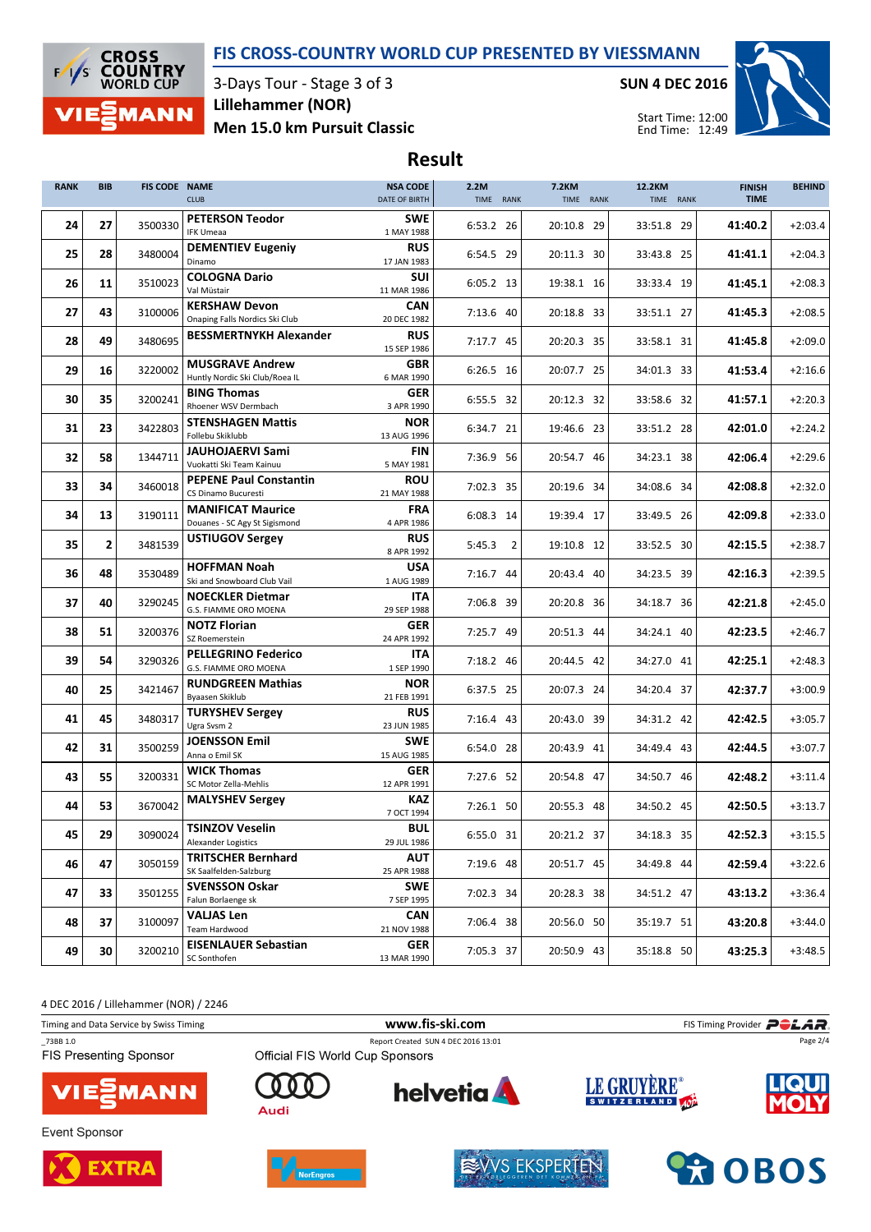### FIS CROSS-COUNTRY WORLD CUP PRESENTED BY VIESSMANN



3-Days Tour - Stage 3 of 3 Men 15.0 km Pursuit Classic Lillehammer (NOR)

SUN 4 DEC 2016



Start Time: 12:00 End Time: 12:49

# Result

| <b>RANK</b> | <b>BIB</b> | <b>FIS CODE NAME</b> | <b>CLUB</b>                                               | <b>NSA CODE</b><br>DATE OF BIRTH | 2.2M<br>TIME RANK | <b>7.2KM</b><br>TIME RANK | 12.2KM<br>TIME RANK | <b>FINISH</b><br><b>TIME</b> | <b>BEHIND</b> |
|-------------|------------|----------------------|-----------------------------------------------------------|----------------------------------|-------------------|---------------------------|---------------------|------------------------------|---------------|
| 24          | 27         | 3500330              | <b>PETERSON Teodor</b><br><b>IFK Umeaa</b>                | <b>SWE</b><br>1 MAY 1988         | 6:53.2 26         | 20:10.8 29                | 33:51.8 29          | 41:40.2                      | $+2:03.4$     |
| 25          | 28         | 3480004              | <b>DEMENTIEV Eugeniy</b><br>Dinamo                        | <b>RUS</b><br>17 JAN 1983        | 6:54.5 29         | 20:11.3 30                | 33:43.8 25          | 41:41.1                      | $+2:04.3$     |
| 26          | 11         | 3510023              | <b>COLOGNA Dario</b><br>Val Müstair                       | <b>SUI</b><br>11 MAR 1986        | $6:05.2$ 13       | 19:38.1 16                | 33:33.4 19          | 41:45.1                      | $+2:08.3$     |
| 27          | 43         | 3100006              | <b>KERSHAW Devon</b><br>Onaping Falls Nordics Ski Club    | <b>CAN</b><br>20 DEC 1982        | 7:13.6 40         | 20:18.8 33                | 33:51.1 27          | 41:45.3                      | $+2:08.5$     |
| 28          | 49         | 3480695              | <b>BESSMERTNYKH Alexander</b>                             | <b>RUS</b><br>15 SEP 1986        | 7:17.7 45         | 20:20.3 35                | 33:58.1 31          | 41:45.8                      | $+2:09.0$     |
| 29          | 16         | 3220002              | <b>MUSGRAVE Andrew</b>                                    | <b>GBR</b>                       | 6:26.5 16         | 20:07.7 25                | 34:01.3 33          | 41:53.4                      | $+2:16.6$     |
| 30          | 35         | 3200241              | Huntly Nordic Ski Club/Roea IL<br><b>BING Thomas</b>      | 6 MAR 1990<br>GER                | 6:55.5 32         | 20:12.3 32                | 33:58.6 32          | 41:57.1                      | $+2:20.3$     |
| 31          | 23         | 3422803              | Rhoener WSV Dermbach<br><b>STENSHAGEN Mattis</b>          | 3 APR 1990<br><b>NOR</b>         | 6:34.7 21         | 19:46.6 23                | 33:51.2 28          | 42:01.0                      | $+2:24.2$     |
| 32          | 58         | 1344711              | Follebu Skiklubb<br><b>JAUHOJAERVI Sami</b>               | 13 AUG 1996<br><b>FIN</b>        | 7:36.9 56         | 20:54.7 46                | 34:23.1 38          | 42:06.4                      | $+2:29.6$     |
| 33          | 34         | 3460018              | Vuokatti Ski Team Kainuu<br><b>PEPENE Paul Constantin</b> | 5 MAY 1981<br><b>ROU</b>         | 7:02.3 35         | 20:19.6 34                | 34:08.6 34          | 42:08.8                      | $+2:32.0$     |
|             |            |                      | CS Dinamo Bucuresti<br><b>MANIFICAT Maurice</b>           | 21 MAY 1988<br><b>FRA</b>        |                   |                           |                     |                              |               |
| 34          | 13         | 3190111              | Douanes - SC Agy St Sigismond<br><b>USTIUGOV Sergey</b>   | 4 APR 1986<br><b>RUS</b>         | 6:08.3 14         | 19:39.4 17                | 33:49.5 26          | 42:09.8                      | $+2:33.0$     |
| 35          | 2          | 3481539              | <b>HOFFMAN Noah</b>                                       | 8 APR 1992<br>USA                | 5:45.3<br>2       | 19:10.8 12                | 33:52.5 30          | 42:15.5                      | $+2:38.7$     |
| 36          | 48         | 3530489              | Ski and Snowboard Club Vail                               | 1 AUG 1989                       | $7:16.7$ 44       | 20:43.4 40                | 34:23.5 39          | 42:16.3                      | $+2:39.5$     |
| 37          | 40         | 3290245              | <b>NOECKLER Dietmar</b><br>G.S. FIAMME ORO MOENA          | ITA<br>29 SEP 1988               | 7:06.8 39         | 20:20.8 36                | 34:18.7 36          | 42:21.8                      | $+2:45.0$     |
| 38          | 51         | 3200376              | <b>NOTZ Florian</b><br>SZ Roemerstein                     | GER<br>24 APR 1992               | 7:25.7 49         | 20:51.3 44                | 34:24.1 40          | 42:23.5                      | $+2:46.7$     |
| 39          | 54         | 3290326              | <b>PELLEGRINO Federico</b><br>G.S. FIAMME ORO MOENA       | <b>ITA</b><br>1 SEP 1990         | 7:18.2 46         | 20:44.5 42                | 34:27.0 41          | 42:25.1                      | $+2:48.3$     |
| 40          | 25         | 3421467              | <b>RUNDGREEN Mathias</b><br>Byaasen Skiklub               | <b>NOR</b><br>21 FEB 1991        | 6:37.5 25         | 20:07.3 24                | 34:20.4 37          | 42:37.7                      | $+3:00.9$     |
| 41          | 45         | 3480317              | <b>TURYSHEV Sergey</b><br>Ugra Svsm 2                     | <b>RUS</b><br>23 JUN 1985        | 7:16.4 43         | 20:43.0 39                | 34:31.2 42          | 42:42.5                      | $+3:05.7$     |
| 42          | 31         | 3500259              | <b>JOENSSON Emil</b><br>Anna o Emil SK                    | <b>SWE</b><br>15 AUG 1985        | 6:54.0 28         | 20:43.9 41                | 34:49.4 43          | 42:44.5                      | $+3:07.7$     |
| 43          | 55         | 3200331              | <b>WICK Thomas</b><br>SC Motor Zella-Mehlis               | GER<br>12 APR 1991               | 7:27.6 52         | 20:54.8 47                | 34:50.7 46          | 42:48.2                      | $+3:11.4$     |
| 44          | 53         | 3670042              | <b>MALYSHEV Sergey</b>                                    | KAZ<br>7 OCT 1994                | 7:26.1 50         | 20:55.3 48                | 34:50.2 45          | 42:50.5                      | $+3:13.7$     |
| 45          | 29         | 3090024              | <b>TSINZOV Veselin</b><br>Alexander Logistics             | <b>BUL</b><br>29 JUL 1986        | 6:55.0 31         | 20:21.2 37                | 34:18.3 35          | 42:52.3                      | $+3:15.5$     |
| 46          | 47         | 3050159              | <b>TRITSCHER Bernhard</b>                                 | <b>AUT</b>                       | 7:19.6 48         | 20:51.7 45                | 34:49.8 44          | 42:59.4                      | $+3:22.6$     |
| 47          | 33         | 3501255              | SK Saalfelden-Salzburg<br><b>SVENSSON Oskar</b>           | 25 APR 1988<br><b>SWE</b>        | 7:02.3 34         | 20:28.3 38                | 34:51.2 47          | 43:13.2                      | $+3:36.4$     |
| 48          | 37         | 3100097              | Falun Borlaenge sk<br><b>VALIAS Len</b>                   | 7 SEP 1995<br><b>CAN</b>         | 7:06.4 38         | 20:56.0 50                | 35:19.7 51          | 43:20.8                      | $+3:44.0$     |
| 49          | 30         | 3200210              | Team Hardwood<br><b>EISENLAUER Sebastian</b>              | 21 NOV 1988<br>GER               | 7:05.3 37         | 20:50.9 43                | 35:18.8 50          | 43:25.3                      | $+3:48.5$     |
|             |            |                      | SC Sonthofen                                              | 13 MAR 1990                      |                   |                           |                     |                              |               |

4 DEC 2016 / Lillehammer (NOR) / 2246

Timing and Data Service by Swiss Timing **WWW.fis-Ski.com WWW.fis-Ski.com** FIS Timing Provider **PCLAR** \_73BB 1.0 Report Created SUN 4 DEC 2016 13:01 Page 2/4FIS Presenting Sponsor LE GRUYÈRE® **helvetia** n MANN Audi









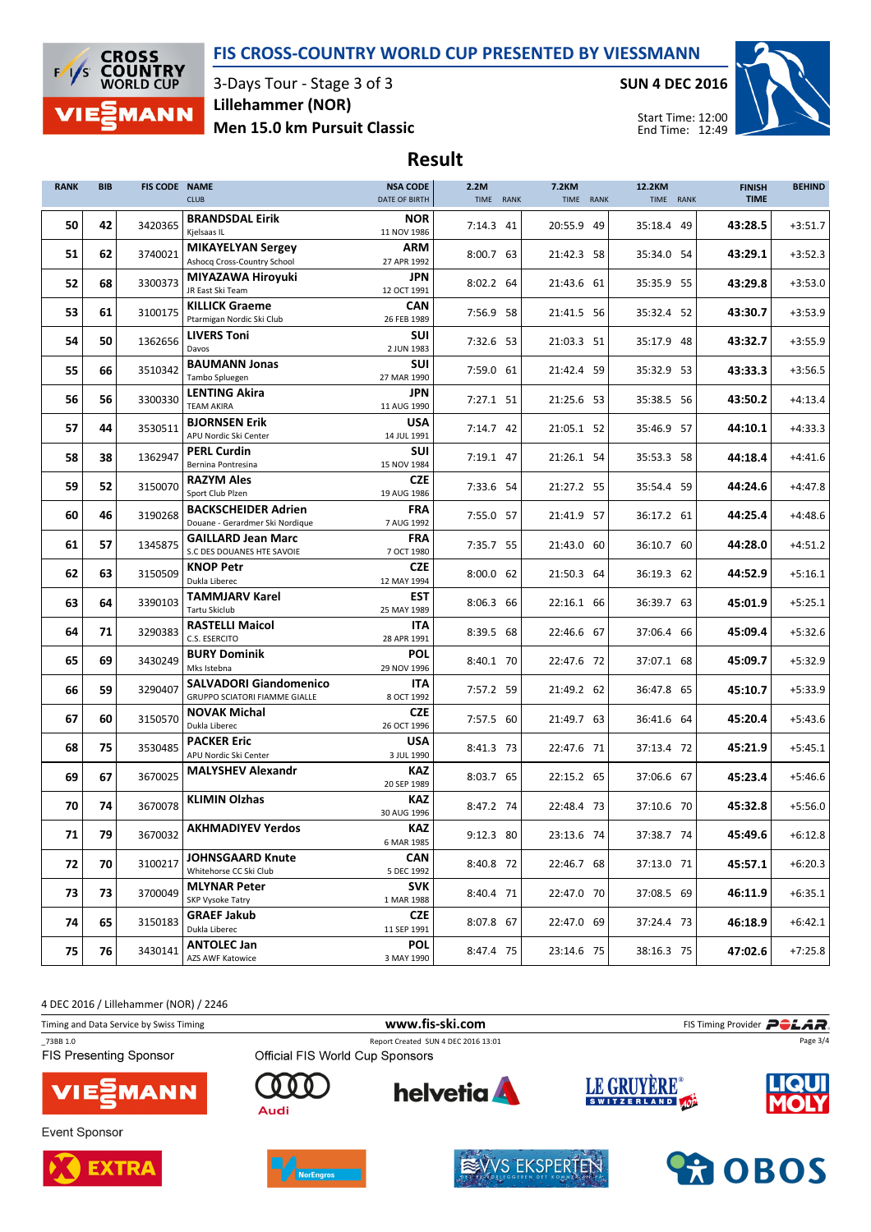### FIS CROSS-COUNTRY WORLD CUP PRESENTED BY VIESSMANN



3-Days Tour - Stage 3 of 3 Men 15.0 km Pursuit Classic Lillehammer (NOR)

SUN 4 DEC 2016



Start Time: 12:00 End Time: 12:49

# Result

| <b>RANK</b> | <b>BIB</b> | FIS CODE NAME | <b>CLUB</b>                                                           | <b>NSA CODE</b><br>DATE OF BIRTH | 2.2M<br>TIME RANK | <b>7.2KM</b><br>TIME RANK | 12.2KM<br>TIME RANK | <b>FINISH</b><br><b>TIME</b> | <b>BEHIND</b> |
|-------------|------------|---------------|-----------------------------------------------------------------------|----------------------------------|-------------------|---------------------------|---------------------|------------------------------|---------------|
| 50          | 42         | 3420365       | <b>BRANDSDAL Eirik</b><br>Kjelsaas IL                                 | <b>NOR</b><br>11 NOV 1986        | $7:14.3$ 41       | 20:55.9 49                | 35:18.4 49          | 43:28.5                      | $+3:51.7$     |
| 51          | 62         | 3740021       | <b>MIKAYELYAN Sergey</b><br>Ashocq Cross-Country School               | <b>ARM</b><br>27 APR 1992        | 8:00.7 63         | 21:42.3 58                | 35:34.0 54          | 43:29.1                      | $+3:52.3$     |
| 52          | 68         | 3300373       | MIYAZAWA Hiroyuki<br>JR East Ski Team                                 | <b>JPN</b><br>12 OCT 1991        | 8:02.2 64         | 21:43.6 61                | 35:35.9 55          | 43:29.8                      | $+3:53.0$     |
| 53          | 61         | 3100175       | <b>KILLICK Graeme</b>                                                 | <b>CAN</b>                       | 7:56.9 58         | 21:41.5 56                | 35:32.4 52          | 43:30.7                      | $+3:53.9$     |
| 54          | 50         | 1362656       | Ptarmigan Nordic Ski Club<br><b>LIVERS Toni</b>                       | 26 FEB 1989<br><b>SUI</b>        | 7:32.6 53         | 21:03.3 51                | 35:17.9 48          | 43:32.7                      | $+3:55.9$     |
|             |            |               | Davos<br><b>BAUMANN Jonas</b>                                         | 2 JUN 1983<br>SUI                |                   |                           |                     |                              |               |
| 55          | 66         | 3510342       | Tambo Spluegen<br><b>LENTING Akira</b>                                | 27 MAR 1990<br><b>JPN</b>        | 7:59.0 61         | 21:42.4 59                | 35:32.9 53          | 43:33.3                      | $+3:56.5$     |
| 56          | 56         | 3300330       | <b>TEAM AKIRA</b>                                                     | 11 AUG 1990                      | 7:27.1 51         | 21:25.6 53                | 35:38.5 56          | 43:50.2                      | $+4:13.4$     |
| 57          | 44         | 3530511       | <b>BJORNSEN Erik</b><br>APU Nordic Ski Center                         | <b>USA</b><br>14 JUL 1991        | 7:14.7 42         | 21:05.1 52                | 35:46.9 57          | 44:10.1                      | $+4:33.3$     |
| 58          | 38         | 1362947       | <b>PERL Curdin</b><br>Bernina Pontresina                              | SUI<br>15 NOV 1984               | 7:19.1 47         | 21:26.1 54                | 35:53.3 58          | 44:18.4                      | $+4:41.6$     |
| 59          | 52         | 3150070       | <b>RAZYM Ales</b><br>Sport Club Plzen                                 | <b>CZE</b><br>19 AUG 1986        | 7:33.6 54         | 21:27.2 55                | 35:54.4 59          | 44:24.6                      | $+4:47.8$     |
| 60          | 46         | 3190268       | <b>BACKSCHEIDER Adrien</b><br>Douane - Gerardmer Ski Nordique         | <b>FRA</b><br>7 AUG 1992         | 7:55.0 57         | 21:41.9 57                | 36:17.2 61          | 44:25.4                      | $+4:48.6$     |
| 61          | 57         | 1345875       | <b>GAILLARD Jean Marc</b>                                             | <b>FRA</b>                       | 7:35.7 55         | 21:43.0 60                | 36:10.7 60          | 44:28.0                      | $+4:51.2$     |
| 62          | 63         | 3150509       | S.C DES DOUANES HTE SAVOIE<br><b>KNOP Petr</b>                        | 7 OCT 1980<br><b>CZE</b>         | 8:00.0 62         | 21:50.3 64                | 36:19.3 62          | 44:52.9                      | $+5:16.1$     |
| 63          | 64         | 3390103       | Dukla Liberec<br><b>TAMMJARV Karel</b>                                | 12 MAY 1994<br><b>EST</b>        | 8:06.3 66         | 22:16.1 66                | 36:39.7 63          | 45:01.9                      | $+5:25.1$     |
|             |            |               | Tartu Skiclub<br><b>RASTELLI Maicol</b>                               | 25 MAY 1989<br>ITA               |                   |                           |                     |                              |               |
| 64          | 71         | 3290383       | C.S. ESERCITO<br><b>BURY Dominik</b>                                  | 28 APR 1991<br><b>POL</b>        | 8:39.5 68         | 22:46.6 67                | 37:06.4 66          | 45:09.4                      | $+5:32.6$     |
| 65          | 69         | 3430249       | Mks Istebna                                                           | 29 NOV 1996                      | 8:40.1 70         | 22:47.6 72                | 37:07.1 68          | 45:09.7                      | $+5:32.9$     |
| 66          | 59         | 3290407       | <b>SALVADORI Giandomenico</b><br><b>GRUPPO SCIATORI FIAMME GIALLE</b> | ITA<br>8 OCT 1992                | 7:57.2 59         | 21:49.2 62                | 36:47.8 65          | 45:10.7                      | $+5:33.9$     |
| 67          | 60         | 3150570       | <b>NOVAK Michal</b><br>Dukla Liberec                                  | <b>CZE</b><br>26 OCT 1996        | 7:57.5 60         | 21:49.7 63                | 36:41.6 64          | 45:20.4                      | $+5:43.6$     |
| 68          | 75         | 3530485       | <b>PACKER Eric</b><br>APU Nordic Ski Center                           | <b>USA</b><br>3 JUL 1990         | 8:41.3 73         | 22:47.6 71                | 37:13.4 72          | 45:21.9                      | $+5:45.1$     |
| 69          | 67         | 3670025       | <b>MALYSHEV Alexandr</b>                                              | KAZ<br>20 SEP 1989               | 8:03.7 65         | 22:15.2 65                | 37:06.6 67          | 45:23.4                      | $+5:46.6$     |
| 70          | 74         | 3670078       | <b>KLIMIN Olzhas</b>                                                  | KAZ                              | 8:47.2 74         | 22:48.4 73                | 37:10.6 70          | 45:32.8                      | $+5:56.0$     |
| 71          | 79         | 3670032       | <b>AKHMADIYEV Yerdos</b>                                              | 30 AUG 1996<br><b>KAZ</b>        | 9:12.3 80         | 23:13.6 74                | 37:38.7 74          | 45:49.6                      | $+6:12.8$     |
| 72          | 70         |               | <b>JOHNSGAARD Knute</b>                                               | 6 MAR 1985<br><b>CAN</b>         |                   |                           |                     |                              |               |
|             |            | 3100217       | Whitehorse CC Ski Club<br><b>MLYNAR Peter</b>                         | 5 DEC 1992<br><b>SVK</b>         | 8:40.8 72         | 22:46.7 68                | 37:13.0 71          | 45:57.1                      | $+6:20.3$     |
| 73          | 73         | 3700049       | SKP Vysoke Tatry                                                      | 1 MAR 1988                       | 8:40.4 71         | 22:47.0 70                | 37:08.5 69          | 46:11.9                      | $+6:35.1$     |
| 74          | 65         | 3150183       | <b>GRAEF Jakub</b><br>Dukla Liberec                                   | <b>CZE</b><br>11 SEP 1991        | 8:07.8 67         | 22:47.0 69                | 37:24.4 73          | 46:18.9                      | $+6:42.1$     |
| 75          | 76         | 3430141       | <b>ANTOLEC Jan</b><br><b>AZS AWF Katowice</b>                         | <b>POL</b><br>3 MAY 1990         | 8:47.4 75         | 23:14.6 75                | 38:16.3 75          | 47:02.6                      | $+7:25.8$     |

4 DEC 2016 / Lillehammer (NOR) / 2246

Timing and Data Service by Swiss Timing **Example 20** and Data Service by Swiss Timing Provider **POLAR** \_73BB 1.0 Report Created SUN 4 DEC 2016 13:01 Page 3/4**FIS Presenting Sponsor** LE GRUYÈRE® **helvetia** n MANN Audi